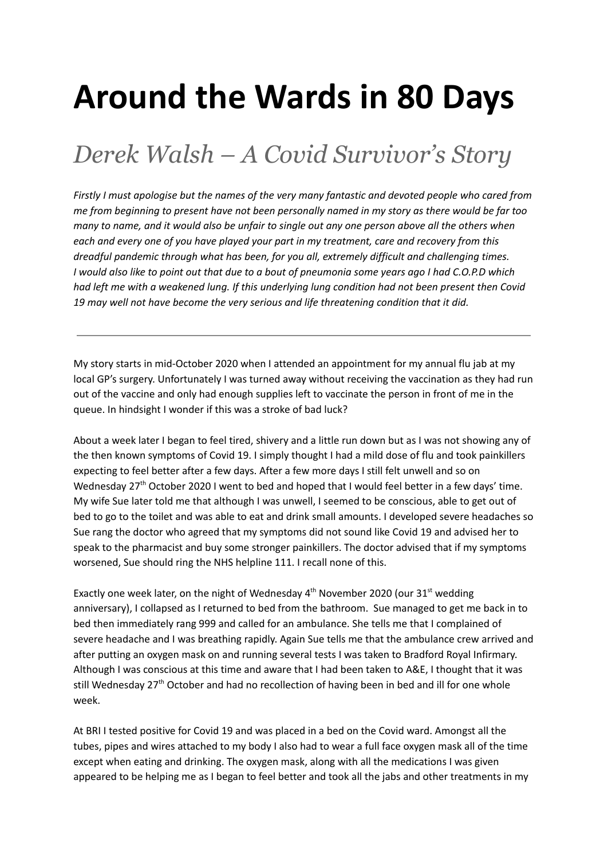## **Around the Wards in 80 Days**

## *Derek Walsh – A Covid Survivor's Story*

Firstly I must apologise but the names of the very many fantastic and devoted people who cared from me from beginning to present have not been personally named in my story as there would be far too many to name, and it would also be unfair to single out any one person above all the others when *each and every one of you have played your part in my treatment, care and recovery from this dreadful pandemic through what has been, for you all, extremely difficult and challenging times.* I would also like to point out that due to a bout of pneumonia some years ago I had C.O.P.D which had left me with a weakened lung. If this underlying lung condition had not been present then Covid *19 may well not have become the very serious and life threatening condition that it did.*

My story starts in mid-October 2020 when I attended an appointment for my annual flu jab at my local GP's surgery. Unfortunately I was turned away without receiving the vaccination as they had run out of the vaccine and only had enough supplies left to vaccinate the person in front of me in the queue. In hindsight I wonder if this was a stroke of bad luck?

About a week later I began to feel tired, shivery and a little run down but as I was not showing any of the then known symptoms of Covid 19. I simply thought I had a mild dose of flu and took painkillers expecting to feel better after a few days. After a few more days I still felt unwell and so on Wednesday 27<sup>th</sup> October 2020 I went to bed and hoped that I would feel better in a few days' time. My wife Sue later told me that although I was unwell, I seemed to be conscious, able to get out of bed to go to the toilet and was able to eat and drink small amounts. I developed severe headaches so Sue rang the doctor who agreed that my symptoms did not sound like Covid 19 and advised her to speak to the pharmacist and buy some stronger painkillers. The doctor advised that if my symptoms worsened, Sue should ring the NHS helpline 111. I recall none of this.

Exactly one week later, on the night of Wednesday  $4^{\text{th}}$  November 2020 (our 31 $^{\text{st}}$  wedding anniversary), I collapsed as I returned to bed from the bathroom. Sue managed to get me back in to bed then immediately rang 999 and called for an ambulance. She tells me that I complained of severe headache and I was breathing rapidly. Again Sue tells me that the ambulance crew arrived and after putting an oxygen mask on and running several tests I was taken to Bradford Royal Infirmary. Although I was conscious at this time and aware that I had been taken to A&E, I thought that it was still Wednesday 27<sup>th</sup> October and had no recollection of having been in bed and ill for one whole week.

At BRI I tested positive for Covid 19 and was placed in a bed on the Covid ward. Amongst all the tubes, pipes and wires attached to my body I also had to wear a full face oxygen mask all of the time except when eating and drinking. The oxygen mask, along with all the medications I was given appeared to be helping me as I began to feel better and took all the jabs and other treatments in my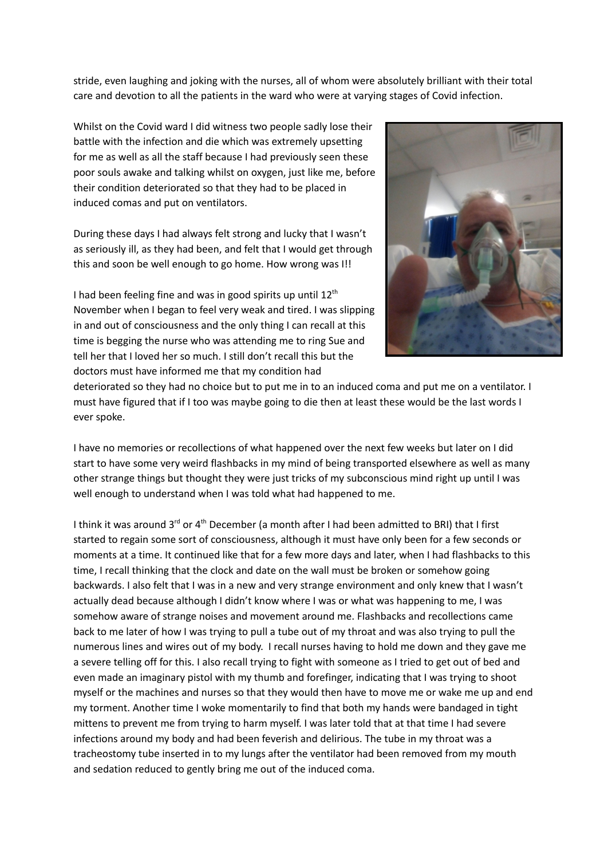stride, even laughing and joking with the nurses, all of whom were absolutely brilliant with their total care and devotion to all the patients in the ward who were at varying stages of Covid infection.

Whilst on the Covid ward I did witness two people sadly lose their battle with the infection and die which was extremely upsetting for me as well as all the staff because I had previously seen these poor souls awake and talking whilst on oxygen, just like me, before their condition deteriorated so that they had to be placed in induced comas and put on ventilators.

During these days I had always felt strong and lucky that I wasn't as seriously ill, as they had been, and felt that I would get through this and soon be well enough to go home. How wrong was I!!

I had been feeling fine and was in good spirits up until 12<sup>th</sup> November when I began to feel very weak and tired. I was slipping in and out of consciousness and the only thing I can recall at this time is begging the nurse who was attending me to ring Sue and tell her that I loved her so much. I still don't recall this but the doctors must have informed me that my condition had



deteriorated so they had no choice but to put me in to an induced coma and put me on a ventilator. I must have figured that if I too was maybe going to die then at least these would be the last words I ever spoke.

I have no memories or recollections of what happened over the next few weeks but later on I did start to have some very weird flashbacks in my mind of being transported elsewhere as well as many other strange things but thought they were just tricks of my subconscious mind right up until I was well enough to understand when I was told what had happened to me.

I think it was around 3<sup>rd</sup> or 4<sup>th</sup> December (a month after I had been admitted to BRI) that I first started to regain some sort of consciousness, although it must have only been for a few seconds or moments at a time. It continued like that for a few more days and later, when I had flashbacks to this time, I recall thinking that the clock and date on the wall must be broken or somehow going backwards. I also felt that I was in a new and very strange environment and only knew that I wasn't actually dead because although I didn't know where I was or what was happening to me, I was somehow aware of strange noises and movement around me. Flashbacks and recollections came back to me later of how I was trying to pull a tube out of my throat and was also trying to pull the numerous lines and wires out of my body. I recall nurses having to hold me down and they gave me a severe telling off for this. I also recall trying to fight with someone as I tried to get out of bed and even made an imaginary pistol with my thumb and forefinger, indicating that I was trying to shoot myself or the machines and nurses so that they would then have to move me or wake me up and end my torment. Another time I woke momentarily to find that both my hands were bandaged in tight mittens to prevent me from trying to harm myself. I was later told that at that time I had severe infections around my body and had been feverish and delirious. The tube in my throat was a tracheostomy tube inserted in to my lungs after the ventilator had been removed from my mouth and sedation reduced to gently bring me out of the induced coma.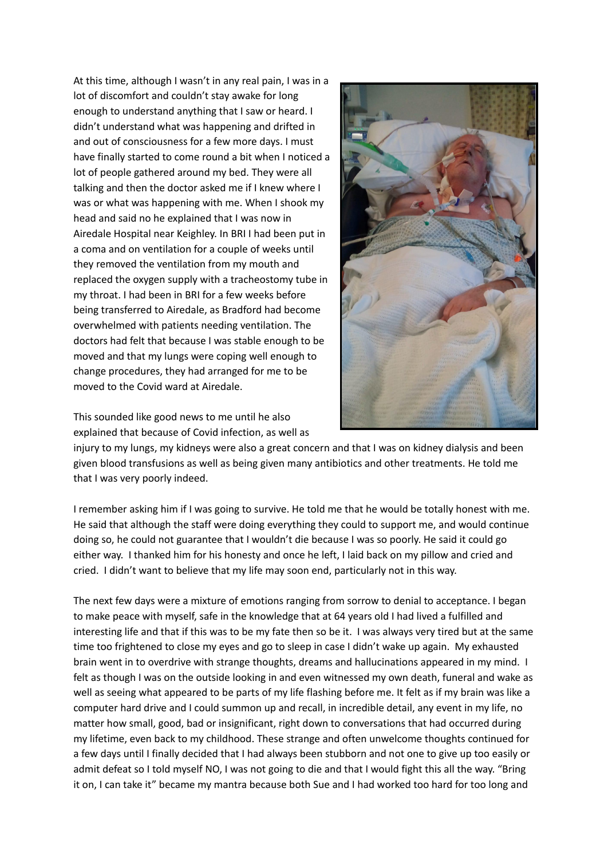At this time, although I wasn't in any real pain, I was in a lot of discomfort and couldn't stay awake for long enough to understand anything that I saw or heard. I didn't understand what was happening and drifted in and out of consciousness for a few more days. I must have finally started to come round a bit when I noticed a lot of people gathered around my bed. They were all talking and then the doctor asked me if I knew where I was or what was happening with me. When I shook my head and said no he explained that I was now in Airedale Hospital near Keighley. In BRI I had been put in a coma and on ventilation for a couple of weeks until they removed the ventilation from my mouth and replaced the oxygen supply with a tracheostomy tube in my throat. I had been in BRI for a few weeks before being transferred to Airedale, as Bradford had become overwhelmed with patients needing ventilation. The doctors had felt that because I was stable enough to be moved and that my lungs were coping well enough to change procedures, they had arranged for me to be moved to the Covid ward at Airedale.

This sounded like good news to me until he also explained that because of Covid infection, as well as



injury to my lungs, my kidneys were also a great concern and that I was on kidney dialysis and been given blood transfusions as well as being given many antibiotics and other treatments. He told me that I was very poorly indeed.

I remember asking him if I was going to survive. He told me that he would be totally honest with me. He said that although the staff were doing everything they could to support me, and would continue doing so, he could not guarantee that I wouldn't die because I was so poorly. He said it could go either way. I thanked him for his honesty and once he left, I laid back on my pillow and cried and cried. I didn't want to believe that my life may soon end, particularly not in this way.

The next few days were a mixture of emotions ranging from sorrow to denial to acceptance. I began to make peace with myself, safe in the knowledge that at 64 years old I had lived a fulfilled and interesting life and that if this was to be my fate then so be it. I was always very tired but at the same time too frightened to close my eyes and go to sleep in case I didn't wake up again. My exhausted brain went in to overdrive with strange thoughts, dreams and hallucinations appeared in my mind. I felt as though I was on the outside looking in and even witnessed my own death, funeral and wake as well as seeing what appeared to be parts of my life flashing before me. It felt as if my brain was like a computer hard drive and I could summon up and recall, in incredible detail, any event in my life, no matter how small, good, bad or insignificant, right down to conversations that had occurred during my lifetime, even back to my childhood. These strange and often unwelcome thoughts continued for a few days until I finally decided that I had always been stubborn and not one to give up too easily or admit defeat so I told myself NO, I was not going to die and that I would fight this all the way. "Bring it on, I can take it" became my mantra because both Sue and I had worked too hard for too long and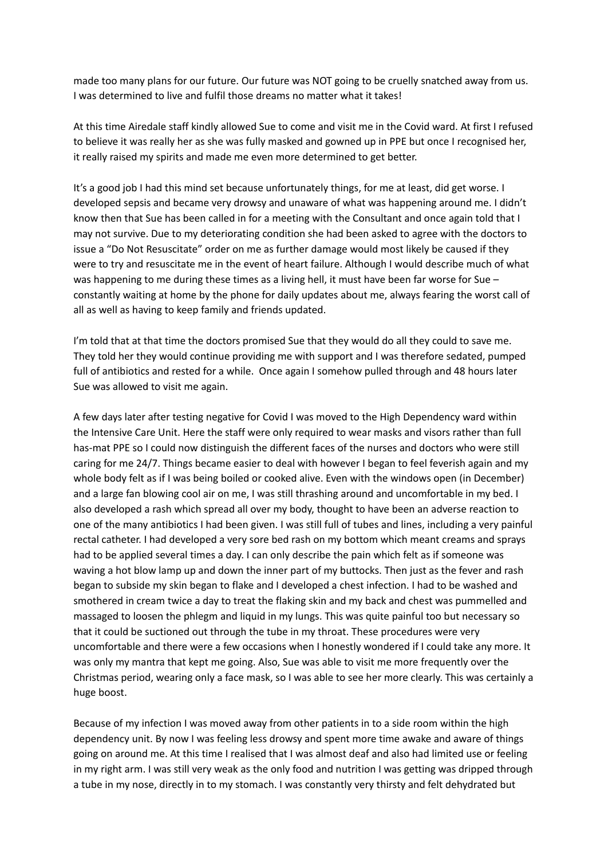made too many plans for our future. Our future was NOT going to be cruelly snatched away from us. I was determined to live and fulfil those dreams no matter what it takes!

At this time Airedale staff kindly allowed Sue to come and visit me in the Covid ward. At first I refused to believe it was really her as she was fully masked and gowned up in PPE but once I recognised her, it really raised my spirits and made me even more determined to get better.

It's a good job I had this mind set because unfortunately things, for me at least, did get worse. I developed sepsis and became very drowsy and unaware of what was happening around me. I didn't know then that Sue has been called in for a meeting with the Consultant and once again told that I may not survive. Due to my deteriorating condition she had been asked to agree with the doctors to issue a "Do Not Resuscitate" order on me as further damage would most likely be caused if they were to try and resuscitate me in the event of heart failure. Although I would describe much of what was happening to me during these times as a living hell, it must have been far worse for Sue – constantly waiting at home by the phone for daily updates about me, always fearing the worst call of all as well as having to keep family and friends updated.

I'm told that at that time the doctors promised Sue that they would do all they could to save me. They told her they would continue providing me with support and I was therefore sedated, pumped full of antibiotics and rested for a while. Once again I somehow pulled through and 48 hours later Sue was allowed to visit me again.

A few days later after testing negative for Covid I was moved to the High Dependency ward within the Intensive Care Unit. Here the staff were only required to wear masks and visors rather than full has-mat PPE so I could now distinguish the different faces of the nurses and doctors who were still caring for me 24/7. Things became easier to deal with however I began to feel feverish again and my whole body felt as if I was being boiled or cooked alive. Even with the windows open (in December) and a large fan blowing cool air on me, I was still thrashing around and uncomfortable in my bed. I also developed a rash which spread all over my body, thought to have been an adverse reaction to one of the many antibiotics I had been given. I was still full of tubes and lines, including a very painful rectal catheter. I had developed a very sore bed rash on my bottom which meant creams and sprays had to be applied several times a day. I can only describe the pain which felt as if someone was waving a hot blow lamp up and down the inner part of my buttocks. Then just as the fever and rash began to subside my skin began to flake and I developed a chest infection. I had to be washed and smothered in cream twice a day to treat the flaking skin and my back and chest was pummelled and massaged to loosen the phlegm and liquid in my lungs. This was quite painful too but necessary so that it could be suctioned out through the tube in my throat. These procedures were very uncomfortable and there were a few occasions when I honestly wondered if I could take any more. It was only my mantra that kept me going. Also, Sue was able to visit me more frequently over the Christmas period, wearing only a face mask, so I was able to see her more clearly. This was certainly a huge boost.

Because of my infection I was moved away from other patients in to a side room within the high dependency unit. By now I was feeling less drowsy and spent more time awake and aware of things going on around me. At this time I realised that I was almost deaf and also had limited use or feeling in my right arm. I was still very weak as the only food and nutrition I was getting was dripped through a tube in my nose, directly in to my stomach. I was constantly very thirsty and felt dehydrated but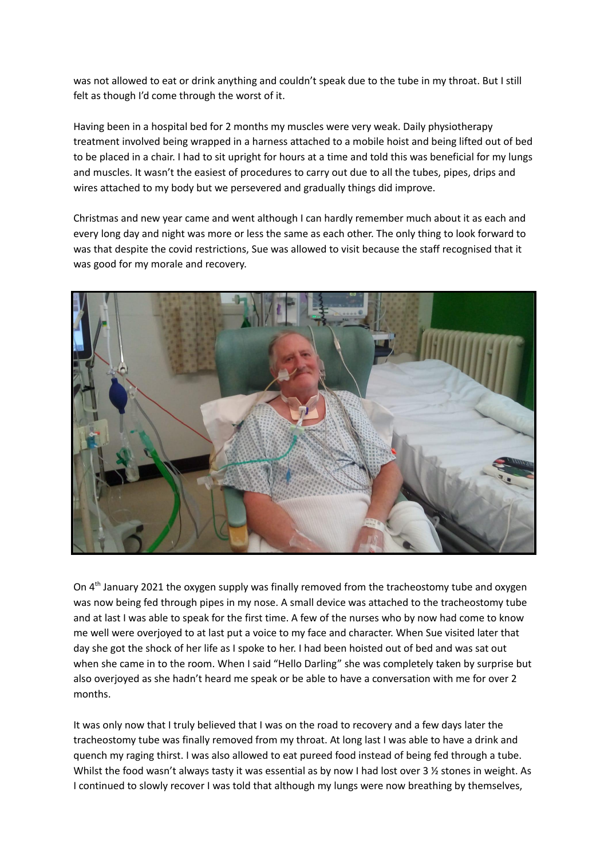was not allowed to eat or drink anything and couldn't speak due to the tube in my throat. But I still felt as though I'd come through the worst of it.

Having been in a hospital bed for 2 months my muscles were very weak. Daily physiotherapy treatment involved being wrapped in a harness attached to a mobile hoist and being lifted out of bed to be placed in a chair. I had to sit upright for hours at a time and told this was beneficial for my lungs and muscles. It wasn't the easiest of procedures to carry out due to all the tubes, pipes, drips and wires attached to my body but we persevered and gradually things did improve.

Christmas and new year came and went although I can hardly remember much about it as each and every long day and night was more or less the same as each other. The only thing to look forward to was that despite the covid restrictions, Sue was allowed to visit because the staff recognised that it was good for my morale and recovery.



On 4<sup>th</sup> January 2021 the oxygen supply was finally removed from the tracheostomy tube and oxygen was now being fed through pipes in my nose. A small device was attached to the tracheostomy tube and at last I was able to speak for the first time. A few of the nurses who by now had come to know me well were overjoyed to at last put a voice to my face and character. When Sue visited later that day she got the shock of her life as I spoke to her. I had been hoisted out of bed and was sat out when she came in to the room. When I said "Hello Darling" she was completely taken by surprise but also overjoyed as she hadn't heard me speak or be able to have a conversation with me for over 2 months.

It was only now that I truly believed that I was on the road to recovery and a few days later the tracheostomy tube was finally removed from my throat. At long last I was able to have a drink and quench my raging thirst. I was also allowed to eat pureed food instead of being fed through a tube. Whilst the food wasn't always tasty it was essential as by now I had lost over 3 1/2 stones in weight. As I continued to slowly recover I was told that although my lungs were now breathing by themselves,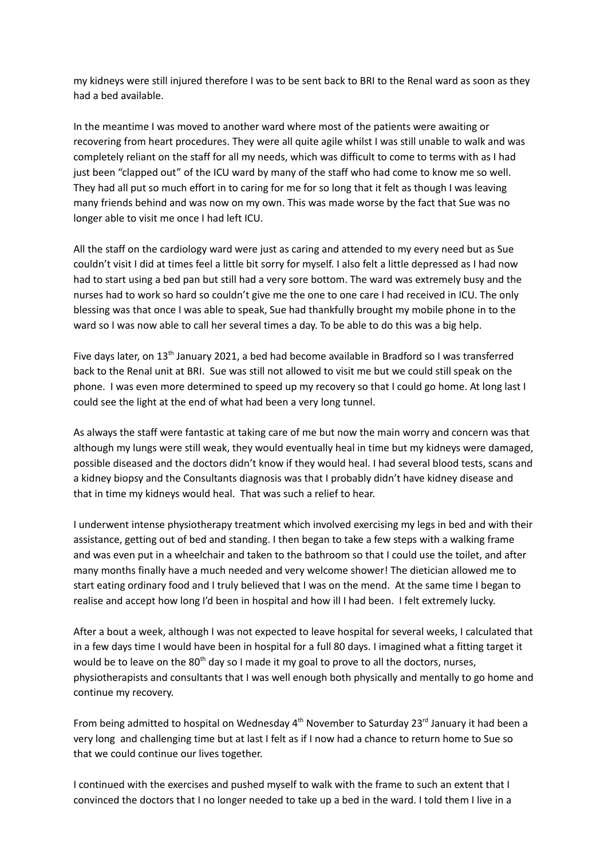my kidneys were still injured therefore I was to be sent back to BRI to the Renal ward as soon as they had a bed available.

In the meantime I was moved to another ward where most of the patients were awaiting or recovering from heart procedures. They were all quite agile whilst I was still unable to walk and was completely reliant on the staff for all my needs, which was difficult to come to terms with as I had just been "clapped out" of the ICU ward by many of the staff who had come to know me so well. They had all put so much effort in to caring for me for so long that it felt as though I was leaving many friends behind and was now on my own. This was made worse by the fact that Sue was no longer able to visit me once I had left ICU.

All the staff on the cardiology ward were just as caring and attended to my every need but as Sue couldn't visit I did at times feel a little bit sorry for myself. I also felt a little depressed as I had now had to start using a bed pan but still had a very sore bottom. The ward was extremely busy and the nurses had to work so hard so couldn't give me the one to one care I had received in ICU. The only blessing was that once I was able to speak, Sue had thankfully brought my mobile phone in to the ward so I was now able to call her several times a day. To be able to do this was a big help.

Five days later, on 13<sup>th</sup> January 2021, a bed had become available in Bradford so I was transferred back to the Renal unit at BRI. Sue was still not allowed to visit me but we could still speak on the phone. I was even more determined to speed up my recovery so that I could go home. At long last I could see the light at the end of what had been a very long tunnel.

As always the staff were fantastic at taking care of me but now the main worry and concern was that although my lungs were still weak, they would eventually heal in time but my kidneys were damaged, possible diseased and the doctors didn't know if they would heal. I had several blood tests, scans and a kidney biopsy and the Consultants diagnosis was that I probably didn't have kidney disease and that in time my kidneys would heal. That was such a relief to hear.

I underwent intense physiotherapy treatment which involved exercising my legs in bed and with their assistance, getting out of bed and standing. I then began to take a few steps with a walking frame and was even put in a wheelchair and taken to the bathroom so that I could use the toilet, and after many months finally have a much needed and very welcome shower! The dietician allowed me to start eating ordinary food and I truly believed that I was on the mend. At the same time I began to realise and accept how long I'd been in hospital and how ill I had been. I felt extremely lucky.

After a bout a week, although I was not expected to leave hospital for several weeks, I calculated that in a few days time I would have been in hospital for a full 80 days. I imagined what a fitting target it would be to leave on the 80<sup>th</sup> day so I made it my goal to prove to all the doctors, nurses, physiotherapists and consultants that I was well enough both physically and mentally to go home and continue my recovery.

From being admitted to hospital on Wednesday 4<sup>th</sup> November to Saturday 23<sup>rd</sup> January it had been a very long and challenging time but at last I felt as if I now had a chance to return home to Sue so that we could continue our lives together.

I continued with the exercises and pushed myself to walk with the frame to such an extent that I convinced the doctors that I no longer needed to take up a bed in the ward. I told them I live in a